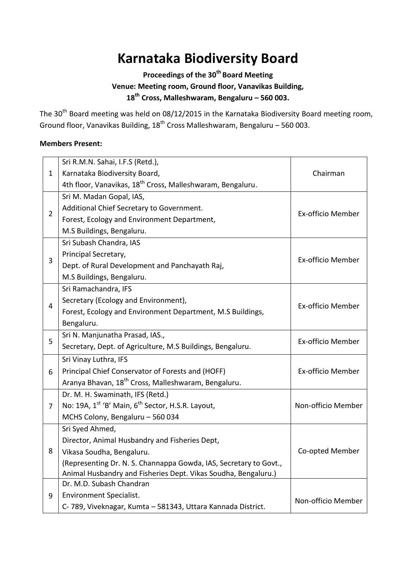# **Karnataka Biodiversity Board**

# **Proceedings of the 30th Board Meeting Venue: Meeting room, Ground floor, Vanavikas Building, 18th Cross, Malleshwaram, Bengaluru – 560 003.**

The  $30<sup>th</sup>$  Board meeting was held on 08/12/2015 in the Karnataka Biodiversity Board meeting room, Ground floor, Vanavikas Building,  $18^{th}$  Cross Malleshwaram, Bengaluru – 560 003.

# **Members Present:**

| $\mathbf{1}$   | Sri R.M.N. Sahai, I.F.S (Retd.),                                          |                    |
|----------------|---------------------------------------------------------------------------|--------------------|
|                | Karnataka Biodiversity Board,                                             | Chairman           |
|                | 4th floor, Vanavikas, 18 <sup>th</sup> Cross, Malleshwaram, Bengaluru.    |                    |
| $\overline{2}$ | Sri M. Madan Gopal, IAS,                                                  |                    |
|                | Additional Chief Secretary to Government.                                 | Ex-officio Member  |
|                | Forest, Ecology and Environment Department,                               |                    |
|                | M.S Buildings, Bengaluru.                                                 |                    |
| 3              | Sri Subash Chandra, IAS                                                   |                    |
|                | Principal Secretary,                                                      |                    |
|                | Dept. of Rural Development and Panchayath Raj,                            | Ex-officio Member  |
|                | M.S Buildings, Bengaluru.                                                 |                    |
| 4              | Sri Ramachandra, IFS                                                      |                    |
|                | Secretary (Ecology and Environment),                                      |                    |
|                | Forest, Ecology and Environment Department, M.S Buildings,                | Ex-officio Member  |
|                | Bengaluru.                                                                |                    |
|                | Sri N. Manjunatha Prasad, IAS.,                                           |                    |
| 5              | Secretary, Dept. of Agriculture, M.S Buildings, Bengaluru.                | Ex-officio Member  |
|                | Sri Vinay Luthra, IFS                                                     |                    |
| 6              | Principal Chief Conservator of Forests and (HOFF)                         | Ex-officio Member  |
|                | Aranya Bhavan, 18 <sup>th</sup> Cross, Malleshwaram, Bengaluru.           |                    |
|                | Dr. M. H. Swaminath, IFS (Retd.)                                          |                    |
| 7              | No: 19A, 1 <sup>st</sup> 'B' Main, 6 <sup>th</sup> Sector, H.S.R. Layout, | Non-officio Member |
|                | MCHS Colony, Bengaluru - 560 034                                          |                    |
| 8              | Sri Syed Ahmed,                                                           |                    |
|                | Director, Animal Husbandry and Fisheries Dept,                            |                    |
|                | Vikasa Soudha, Bengaluru.                                                 | Co-opted Member    |
|                | (Representing Dr. N. S. Channappa Gowda, IAS, Secretary to Govt.,         |                    |
|                | Animal Husbandry and Fisheries Dept. Vikas Soudha, Bengaluru.)            |                    |
| 9              | Dr. M.D. Subash Chandran                                                  |                    |
|                | <b>Environment Specialist.</b>                                            | Non-officio Member |
|                | C-789, Viveknagar, Kumta - 581343, Uttara Kannada District.               |                    |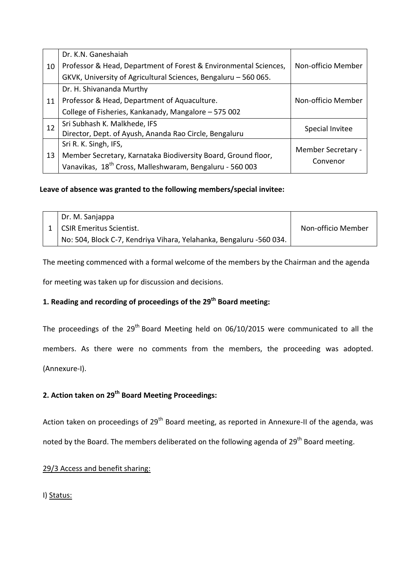| 10 | Dr. K.N. Ganeshaiah                                                  |                    |
|----|----------------------------------------------------------------------|--------------------|
|    | Professor & Head, Department of Forest & Environmental Sciences,     | Non-officio Member |
|    | GKVK, University of Agricultural Sciences, Bengaluru - 560 065.      |                    |
| 11 | Dr. H. Shivananda Murthy                                             |                    |
|    | Professor & Head, Department of Aquaculture.                         | Non-officio Member |
|    | College of Fisheries, Kankanady, Mangalore - 575 002                 |                    |
| 12 | Sri Subhash K. Malkhede, IFS                                         | Special Invitee    |
|    | Director, Dept. of Ayush, Ananda Rao Circle, Bengaluru               |                    |
| 13 | Sri R. K. Singh, IFS,                                                | Member Secretary - |
|    | Member Secretary, Karnataka Biodiversity Board, Ground floor,        | Convenor           |
|    | Vanavikas, 18 <sup>th</sup> Cross, Malleshwaram, Bengaluru - 560 003 |                    |

# **Leave of absence was granted to the following members/special invitee:**

| Dr. M. Sanjappa                                                     |                    |
|---------------------------------------------------------------------|--------------------|
| 1   CSIR Emeritus Scientist.                                        | Non-officio Member |
| No: 504, Block C-7, Kendriya Vihara, Yelahanka, Bengaluru -560 034. |                    |

The meeting commenced with a formal welcome of the members by the Chairman and the agenda

for meeting was taken up for discussion and decisions.

# **1. Reading and recording of proceedings of the 29th Board meeting:**

The proceedings of the  $29<sup>th</sup>$  Board Meeting held on 06/10/2015 were communicated to all the members. As there were no comments from the members, the proceeding was adopted. (Annexure-I).

# **2. Action taken on 29th Board Meeting Proceedings:**

Action taken on proceedings of 29<sup>th</sup> Board meeting, as reported in Annexure-II of the agenda, was

noted by the Board. The members deliberated on the following agenda of 29<sup>th</sup> Board meeting.

# 29/3 Access and benefit sharing:

I) Status: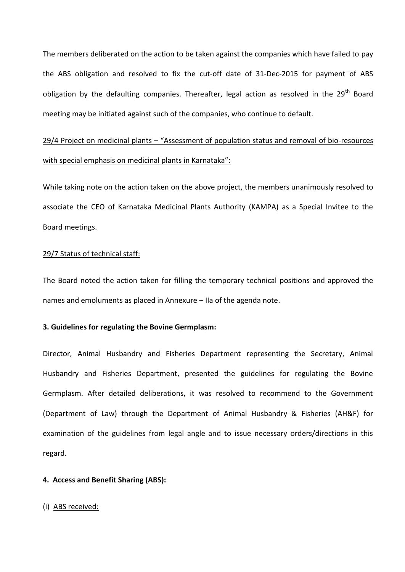The members deliberated on the action to be taken against the companies which have failed to pay the ABS obligation and resolved to fix the cut-off date of 31-Dec-2015 for payment of ABS obligation by the defaulting companies. Thereafter, legal action as resolved in the 29<sup>th</sup> Board meeting may be initiated against such of the companies, who continue to default.

# 29/4 Project on medicinal plants – "Assessment of population status and removal of bio-resources with special emphasis on medicinal plants in Karnataka":

While taking note on the action taken on the above project, the members unanimously resolved to associate the CEO of Karnataka Medicinal Plants Authority (KAMPA) as a Special Invitee to the Board meetings.

## 29/7 Status of technical staff:

The Board noted the action taken for filling the temporary technical positions and approved the names and emoluments as placed in Annexure – IIa of the agenda note.

# **3. Guidelines for regulating the Bovine Germplasm:**

Director, Animal Husbandry and Fisheries Department representing the Secretary, Animal Husbandry and Fisheries Department, presented the guidelines for regulating the Bovine Germplasm. After detailed deliberations, it was resolved to recommend to the Government (Department of Law) through the Department of Animal Husbandry & Fisheries (AH&F) for examination of the guidelines from legal angle and to issue necessary orders/directions in this regard.

## **4. Access and Benefit Sharing (ABS):**

## (i) ABS received: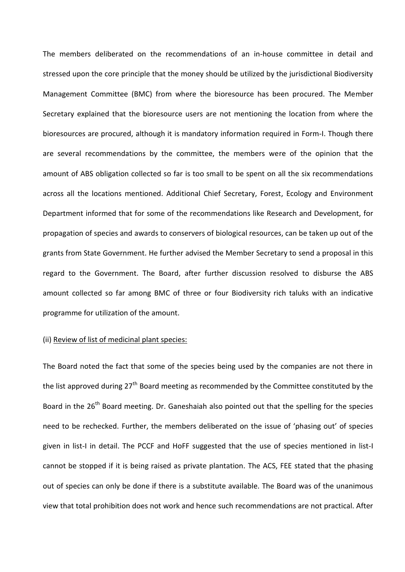The members deliberated on the recommendations of an in-house committee in detail and stressed upon the core principle that the money should be utilized by the jurisdictional Biodiversity Management Committee (BMC) from where the bioresource has been procured. The Member Secretary explained that the bioresource users are not mentioning the location from where the bioresources are procured, although it is mandatory information required in Form-I. Though there are several recommendations by the committee, the members were of the opinion that the amount of ABS obligation collected so far is too small to be spent on all the six recommendations across all the locations mentioned. Additional Chief Secretary, Forest, Ecology and Environment Department informed that for some of the recommendations like Research and Development, for propagation of species and awards to conservers of biological resources, can be taken up out of the grants from State Government. He further advised the Member Secretary to send a proposal in this regard to the Government. The Board, after further discussion resolved to disburse the ABS amount collected so far among BMC of three or four Biodiversity rich taluks with an indicative programme for utilization of the amount.

# (ii) Review of list of medicinal plant species:

The Board noted the fact that some of the species being used by the companies are not there in the list approved during 27<sup>th</sup> Board meeting as recommended by the Committee constituted by the Board in the 26<sup>th</sup> Board meeting. Dr. Ganeshaiah also pointed out that the spelling for the species need to be rechecked. Further, the members deliberated on the issue of 'phasing out' of species given in list-I in detail. The PCCF and HoFF suggested that the use of species mentioned in list-I cannot be stopped if it is being raised as private plantation. The ACS, FEE stated that the phasing out of species can only be done if there is a substitute available. The Board was of the unanimous view that total prohibition does not work and hence such recommendations are not practical. After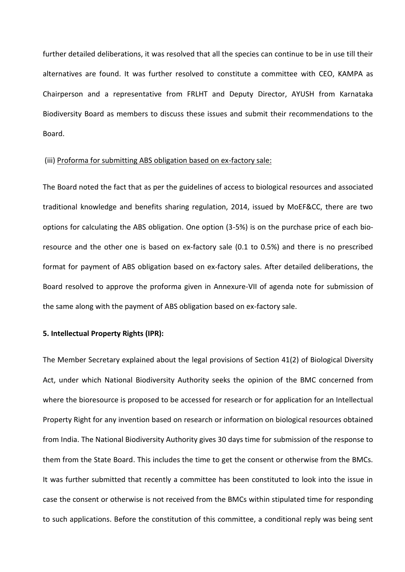further detailed deliberations, it was resolved that all the species can continue to be in use till their alternatives are found. It was further resolved to constitute a committee with CEO, KAMPA as Chairperson and a representative from FRLHT and Deputy Director, AYUSH from Karnataka Biodiversity Board as members to discuss these issues and submit their recommendations to the Board.

#### (iii) Proforma for submitting ABS obligation based on ex-factory sale:

The Board noted the fact that as per the guidelines of access to biological resources and associated traditional knowledge and benefits sharing regulation, 2014, issued by MoEF&CC, there are two options for calculating the ABS obligation. One option (3-5%) is on the purchase price of each bioresource and the other one is based on ex-factory sale (0.1 to 0.5%) and there is no prescribed format for payment of ABS obligation based on ex-factory sales. After detailed deliberations, the Board resolved to approve the proforma given in Annexure-VII of agenda note for submission of the same along with the payment of ABS obligation based on ex-factory sale.

#### **5. Intellectual Property Rights (IPR):**

The Member Secretary explained about the legal provisions of Section 41(2) of Biological Diversity Act, under which National Biodiversity Authority seeks the opinion of the BMC concerned from where the bioresource is proposed to be accessed for research or for application for an Intellectual Property Right for any invention based on research or information on biological resources obtained from India. The National Biodiversity Authority gives 30 days time for submission of the response to them from the State Board. This includes the time to get the consent or otherwise from the BMCs. It was further submitted that recently a committee has been constituted to look into the issue in case the consent or otherwise is not received from the BMCs within stipulated time for responding to such applications. Before the constitution of this committee, a conditional reply was being sent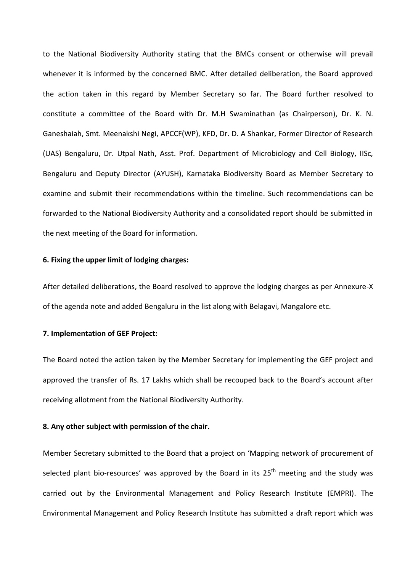to the National Biodiversity Authority stating that the BMCs consent or otherwise will prevail whenever it is informed by the concerned BMC. After detailed deliberation, the Board approved the action taken in this regard by Member Secretary so far. The Board further resolved to constitute a committee of the Board with Dr. M.H Swaminathan (as Chairperson), Dr. K. N. Ganeshaiah, Smt. Meenakshi Negi, APCCF(WP), KFD, Dr. D. A Shankar, Former Director of Research (UAS) Bengaluru, Dr. Utpal Nath, Asst. Prof. Department of Microbiology and Cell Biology, IISc, Bengaluru and Deputy Director (AYUSH), Karnataka Biodiversity Board as Member Secretary to examine and submit their recommendations within the timeline. Such recommendations can be forwarded to the National Biodiversity Authority and a consolidated report should be submitted in the next meeting of the Board for information.

#### **6. Fixing the upper limit of lodging charges:**

After detailed deliberations, the Board resolved to approve the lodging charges as per Annexure-X of the agenda note and added Bengaluru in the list along with Belagavi, Mangalore etc.

# **7. Implementation of GEF Project:**

The Board noted the action taken by the Member Secretary for implementing the GEF project and approved the transfer of Rs. 17 Lakhs which shall be recouped back to the Board's account after receiving allotment from the National Biodiversity Authority.

# **8. Any other subject with permission of the chair.**

Member Secretary submitted to the Board that a project on 'Mapping network of procurement of selected plant bio-resources' was approved by the Board in its  $25<sup>th</sup>$  meeting and the study was carried out by the Environmental Management and Policy Research Institute (EMPRI). The Environmental Management and Policy Research Institute has submitted a draft report which was